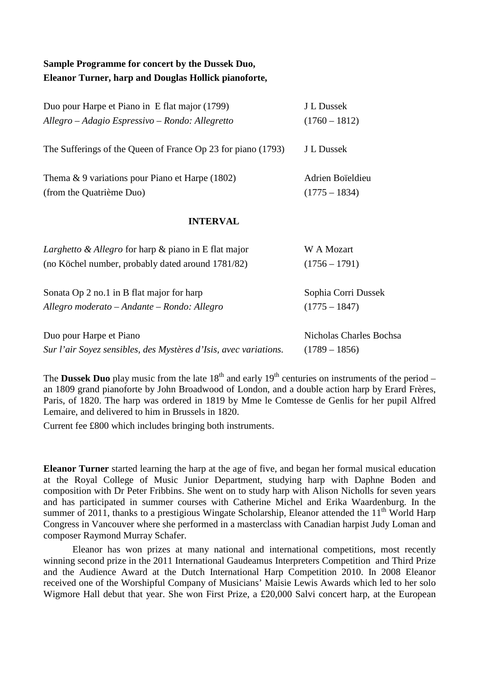## **Sample Programme for concert by the Dussek Duo, Eleanor Turner, harp and Douglas Hollick pianoforte,**

| Duo pour Harpe et Piano in E flat major (1799)                   | J L Dussek              |
|------------------------------------------------------------------|-------------------------|
| Allegro – Adagio Espressivo – Rondo: Allegretto                  | $(1760 - 1812)$         |
| The Sufferings of the Queen of France Op 23 for piano (1793)     | J L Dussek              |
| Thema $\&$ 9 variations pour Piano et Harpe (1802)               | Adrien Boïeldieu        |
| (from the Quatrième Duo)                                         | $(1775 - 1834)$         |
| <b>INTERVAL</b>                                                  |                         |
| <i>Larghetto &amp; Allegro</i> for harp & piano in E flat major  | W A Mozart              |
| (no Köchel number, probably dated around 1781/82)                | $(1756 - 1791)$         |
| Sonata Op 2 no.1 in B flat major for harp                        | Sophia Corri Dussek     |
| Allegro moderato - Andante - Rondo: Allegro                      | $(1775 - 1847)$         |
| Duo pour Harpe et Piano                                          | Nicholas Charles Bochsa |
| Sur l'air Soyez sensibles, des Mystères d'Isis, avec variations. | $(1789 - 1856)$         |

The **Dussek Duo** play music from the late  $18<sup>th</sup>$  and early  $19<sup>th</sup>$  centuries on instruments of the period – an 1809 grand pianoforte by John Broadwood of London, and a double action harp by Erard Frères, Paris, of 1820. The harp was ordered in 1819 by Mme le Comtesse de Genlis for her pupil Alfred Lemaire, and delivered to him in Brussels in 1820.

Current fee £800 which includes bringing both instruments.

**Eleanor Turner** started learning the harp at the age of five, and began her formal musical education at the Royal College of Music Junior Department, studying harp with Daphne Boden and composition with Dr Peter Fribbins. She went on to study harp with Alison Nicholls for seven years and has participated in summer courses with Catherine Michel and Erika Waardenburg. In the summer of 2011, thanks to a prestigious Wingate Scholarship, Eleanor attended the 11<sup>th</sup> World Harp Congress in Vancouver where she performed in a masterclass with Canadian harpist Judy Loman and composer Raymond Murray Schafer.

Eleanor has won prizes at many national and international competitions, most recently winning second prize in the 2011 International Gaudeamus Interpreters Competition and Third Prize and the Audience Award at the Dutch International Harp Competition 2010. In 2008 Eleanor received one of the Worshipful Company of Musicians' Maisie Lewis Awards which led to her solo Wigmore Hall debut that year. She won First Prize, a £20,000 Salvi concert harp, at the European